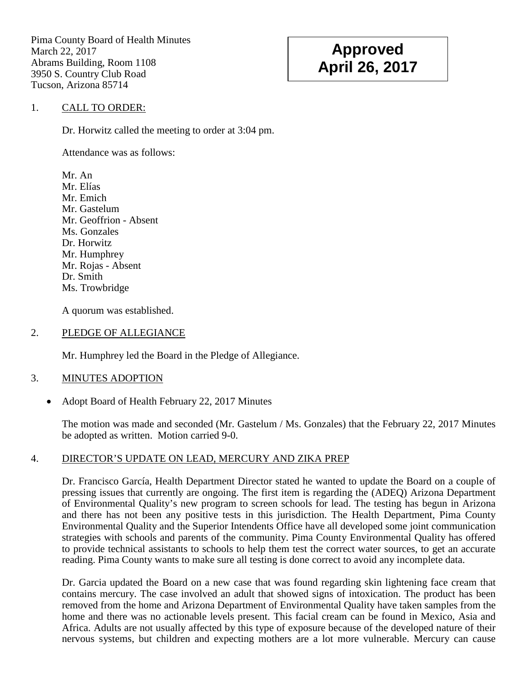Pima County Board of Health Minutes March 22, 2017 Abrams Building, Room 1108 3950 S. Country Club Road Tucson, Arizona 85714

# **Approved April 26, 2017**

## 1. CALL TO ORDER:

Dr. Horwitz called the meeting to order at 3:04 pm.

Attendance was as follows:

Mr. An Mr. Elías Mr. Emich Mr. Gastelum Mr. Geoffrion - Absent Ms. Gonzales Dr. Horwitz Mr. Humphrey Mr. Rojas - Absent Dr. Smith Ms. Trowbridge

A quorum was established.

## 2. PLEDGE OF ALLEGIANCE

Mr. Humphrey led the Board in the Pledge of Allegiance.

## 3. MINUTES ADOPTION

• Adopt Board of Health February 22, 2017 Minutes

The motion was made and seconded (Mr. Gastelum / Ms. Gonzales) that the February 22, 2017 Minutes be adopted as written. Motion carried 9-0.

# 4. DIRECTOR'S UPDATE ON LEAD, MERCURY AND ZIKA PREP

Dr. Francisco García, Health Department Director stated he wanted to update the Board on a couple of pressing issues that currently are ongoing. The first item is regarding the (ADEQ) Arizona Department of Environmental Quality's new program to screen schools for lead. The testing has begun in Arizona and there has not been any positive tests in this jurisdiction. The Health Department, Pima County Environmental Quality and the Superior Intendents Office have all developed some joint communication strategies with schools and parents of the community. Pima County Environmental Quality has offered to provide technical assistants to schools to help them test the correct water sources, to get an accurate reading. Pima County wants to make sure all testing is done correct to avoid any incomplete data.

Dr. Garcia updated the Board on a new case that was found regarding skin lightening face cream that contains mercury. The case involved an adult that showed signs of intoxication. The product has been removed from the home and Arizona Department of Environmental Quality have taken samples from the home and there was no actionable levels present. This facial cream can be found in Mexico, Asia and Africa. Adults are not usually affected by this type of exposure because of the developed nature of their nervous systems, but children and expecting mothers are a lot more vulnerable. Mercury can cause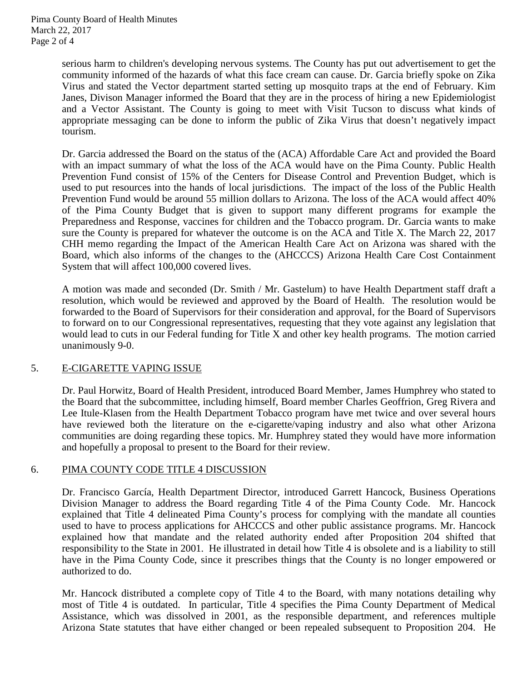serious harm to children's developing nervous systems. The County has put out advertisement to get the community informed of the hazards of what this face cream can cause. Dr. Garcia briefly spoke on Zika Virus and stated the Vector department started setting up mosquito traps at the end of February. Kim Janes, Divison Manager informed the Board that they are in the process of hiring a new Epidemiologist and a Vector Assistant. The County is going to meet with Visit Tucson to discuss what kinds of appropriate messaging can be done to inform the public of Zika Virus that doesn't negatively impact tourism.

Dr. Garcia addressed the Board on the status of the (ACA) Affordable Care Act and provided the Board with an impact summary of what the loss of the ACA would have on the Pima County. Public Health Prevention Fund consist of 15% of the Centers for Disease Control and Prevention Budget, which is used to put resources into the hands of local jurisdictions. The impact of the loss of the Public Health Prevention Fund would be around 55 million dollars to Arizona. The loss of the ACA would affect 40% of the Pima County Budget that is given to support many different programs for example the Preparedness and Response, vaccines for children and the Tobacco program. Dr. Garcia wants to make sure the County is prepared for whatever the outcome is on the ACA and Title X. The March 22, 2017 CHH memo regarding the Impact of the American Health Care Act on Arizona was shared with the Board, which also informs of the changes to the (AHCCCS) Arizona Health Care Cost Containment System that will affect 100,000 covered lives.

A motion was made and seconded (Dr. Smith / Mr. Gastelum) to have Health Department staff draft a resolution, which would be reviewed and approved by the Board of Health. The resolution would be forwarded to the Board of Supervisors for their consideration and approval, for the Board of Supervisors to forward on to our Congressional representatives, requesting that they vote against any legislation that would lead to cuts in our Federal funding for Title X and other key health programs. The motion carried unanimously 9-0.

## 5. E-CIGARETTE VAPING ISSUE

Dr. Paul Horwitz, Board of Health President, introduced Board Member, James Humphrey who stated to the Board that the subcommittee, including himself, Board member Charles Geoffrion, Greg Rivera and Lee Itule-Klasen from the Health Department Tobacco program have met twice and over several hours have reviewed both the literature on the e-cigarette/vaping industry and also what other Arizona communities are doing regarding these topics. Mr. Humphrey stated they would have more information and hopefully a proposal to present to the Board for their review.

## 6. PIMA COUNTY CODE TITLE 4 DISCUSSION

Dr. Francisco García, Health Department Director, introduced Garrett Hancock, Business Operations Division Manager to address the Board regarding Title 4 of the Pima County Code. Mr. Hancock explained that Title 4 delineated Pima County's process for complying with the mandate all counties used to have to process applications for AHCCCS and other public assistance programs. Mr. Hancock explained how that mandate and the related authority ended after Proposition 204 shifted that responsibility to the State in 2001. He illustrated in detail how Title 4 is obsolete and is a liability to still have in the Pima County Code, since it prescribes things that the County is no longer empowered or authorized to do.

Mr. Hancock distributed a complete copy of Title 4 to the Board, with many notations detailing why most of Title 4 is outdated. In particular, Title 4 specifies the Pima County Department of Medical Assistance, which was dissolved in 2001, as the responsible department, and references multiple Arizona State statutes that have either changed or been repealed subsequent to Proposition 204. He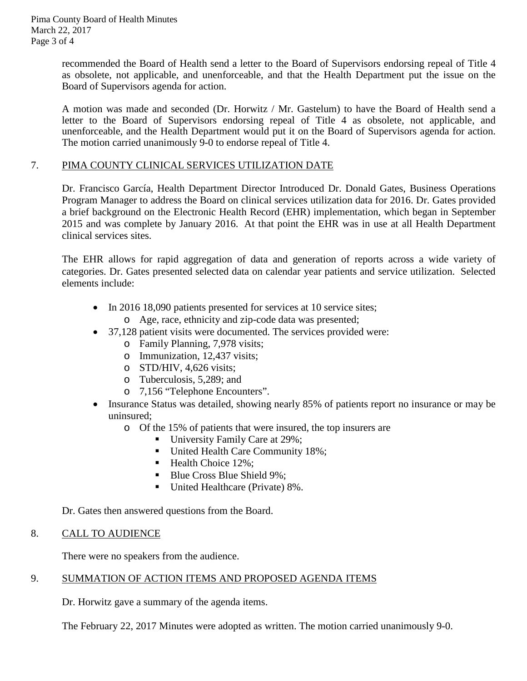recommended the Board of Health send a letter to the Board of Supervisors endorsing repeal of Title 4 as obsolete, not applicable, and unenforceable, and that the Health Department put the issue on the Board of Supervisors agenda for action.

A motion was made and seconded (Dr. Horwitz / Mr. Gastelum) to have the Board of Health send a letter to the Board of Supervisors endorsing repeal of Title 4 as obsolete, not applicable, and unenforceable, and the Health Department would put it on the Board of Supervisors agenda for action. The motion carried unanimously 9-0 to endorse repeal of Title 4.

## 7. PIMA COUNTY CLINICAL SERVICES UTILIZATION DATE

Dr. Francisco García, Health Department Director Introduced Dr. Donald Gates, Business Operations Program Manager to address the Board on clinical services utilization data for 2016. Dr. Gates provided a brief background on the Electronic Health Record (EHR) implementation, which began in September 2015 and was complete by January 2016. At that point the EHR was in use at all Health Department clinical services sites.

The EHR allows for rapid aggregation of data and generation of reports across a wide variety of categories. Dr. Gates presented selected data on calendar year patients and service utilization. Selected elements include:

- In 2016 18,090 patients presented for services at 10 service sites;
	- o Age, race, ethnicity and zip-code data was presented;
- 37,128 patient visits were documented. The services provided were:
	- o Family Planning, 7,978 visits;
	- o Immunization, 12,437 visits;
	- o STD/HIV, 4,626 visits;
	- o Tuberculosis, 5,289; and
	- o 7,156 "Telephone Encounters".
- Insurance Status was detailed, showing nearly 85% of patients report no insurance or may be uninsured;
	- o Of the 15% of patients that were insured, the top insurers are
		- University Family Care at 29%;
		- United Health Care Community 18%;
		- Health Choice 12%;
		- Blue Cross Blue Shield 9%:
		- United Healthcare (Private) 8%.

Dr. Gates then answered questions from the Board.

#### 8. CALL TO AUDIENCE

There were no speakers from the audience.

## 9. SUMMATION OF ACTION ITEMS AND PROPOSED AGENDA ITEMS

Dr. Horwitz gave a summary of the agenda items.

The February 22, 2017 Minutes were adopted as written. The motion carried unanimously 9-0.